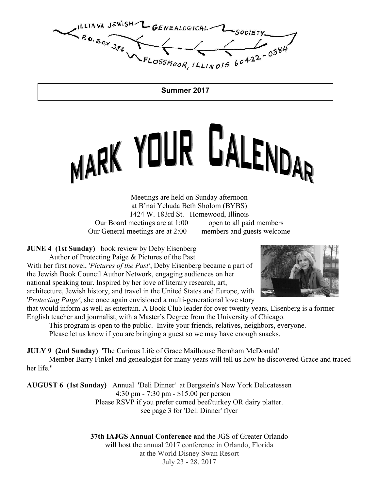ILLIANA JEWISH CENEALOGICAL LSOCIETY  $R_{0.80x}$  384

Summer 2017

# MARK YOUR GALENDAR

Meetings are held on Sunday afternoon at B'nai Yehuda Beth Sholom (BYBS) 1424 W. 183rd St. Homewood, Illinois Our Board meetings are at 1:00 open to all paid members Our General meetings are at 2:00 members and guests welcome

**JUNE 4 (1st Sunday)** book review by Deby Eisenberg

Author of Protecting Paige & Pictures of the Past

With her first novel, 'Pictures of the Past', Deby Eisenberg became a part of the Jewish Book Council Author Network, engaging audiences on her national speaking tour. Inspired by her love of literary research, art, architecture, Jewish history, and travel in the United States and Europe, with 'Protecting Paige', she once again envisioned a multi-generational love story



that would inform as well as entertain. A Book Club leader for over twenty years, Eisenberg is a former English teacher and journalist, with a Master's Degree from the University of Chicago. This program is open to the public. Invite your friends, relatives, neighbors, everyone.

Please let us know if you are bringing a guest so we may have enough snacks.

JULY 9 (2nd Sunday) 'The Curious Life of Grace Mailhouse Bernham McDonald'

 Member Barry Finkel and genealogist for many years will tell us how he discovered Grace and traced her life."

AUGUST 6 (1st Sunday) Annual 'Deli Dinner' at Bergstein's New York Delicatessen 4:30 pm - 7:30 pm - \$15.00 per person Please RSVP if you prefer corned beef/turkey OR dairy platter. see page 3 for 'Deli Dinner' flyer

> 37th IAJGS Annual Conference and the JGS of Greater Orlando will host the annual 2017 conference in Orlando, Florida at the World Disney Swan Resort July 23 - 28, 2017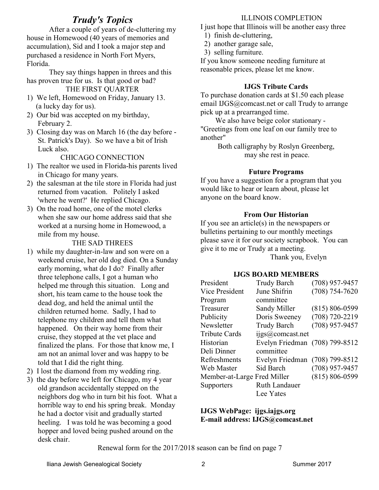# Trudy's Topics

 After a couple of years of de-cluttering my house in Homewood (40 years of memories and accumulation), Sid and I took a major step and purchased a residence in North Fort Myers, Florida.

 They say things happen in threes and this has proven true for us. Is that good or bad? THE FIRST QUARTER

- 1) We left, Homewood on Friday, January 13. (a lucky day for us).
- 2) Our bid was accepted on my birthday, February 2.
- 3) Closing day was on March 16 (the day before St. Patrick's Day). So we have a bit of Irish Luck also.

CHICAGO CONNECTION

- 1) The realtor we used in Florida-his parents lived in Chicago for many years.
- 2) the salesman at the tile store in Florida had just returned from vacation. Politely I asked 'where he went?' He replied Chicago.
- 3) On the road home, one of the motel clerks when she saw our home address said that she worked at a nursing home in Homewood, a mile from my house.

#### THE SAD THREES

- 1) while my daughter-in-law and son were on a weekend cruise, her old dog died. On a Sunday early morning, what do I do? Finally after three telephone calls, I got a human who helped me through this situation. Long and short, his team came to the house took the dead dog, and held the animal until the children returned home. Sadly, I had to telephone my children and tell them what happened. On their way home from their cruise, they stopped at the vet place and finalized the plans. For those that know me, I am not an animal lover and was happy to be told that I did the right thing.
- 2) I lost the diamond from my wedding ring.
- 3) the day before we left for Chicago, my 4 year old grandson accidentally stepped on the neighbors dog who in turn bit his foot. What a horrible way to end his spring break. Monday he had a doctor visit and gradually started heeling. I was told he was becoming a good hopper and loved being pushed around on the desk chair.

#### ILLINOIS COMPLETION

I just hope that Illinois will be another easy three

- 1) finish de-cluttering,
- 2) another garage sale,
- 3) selling furniture.

If you know someone needing furniture at reasonable prices, please let me know.

#### IJGS Tribute Cards

To purchase donation cards at \$1.50 each please email IJGS@comcast.net or call Trudy to arrange pick up at a prearranged time.

 We also have beige color stationary - "Greetings from one leaf on our family tree to another"

> Both calligraphy by Roslyn Greenberg, may she rest in peace.

#### Future Programs

If you have a suggestion for a program that you would like to hear or learn about, please let anyone on the board know.

#### From Our Historian

If you see an article(s) in the newspapers or bulletins pertaining to our monthly meetings please save it for our society scrapbook. You can give it to me or Trudy at a meeting.

Thank you, Evelyn

#### IJGS BOARD MEMBERS

| President                   | <b>Trudy Barch</b>             | $(708)$ 957-9457   |
|-----------------------------|--------------------------------|--------------------|
| Vice President              | June Shifrin                   | $(708) 754 - 7620$ |
| Program                     | committee                      |                    |
| Treasurer                   | Sandy Miller                   | $(815) 806 - 0599$ |
| Publicity                   | Doris Sweeney                  | $(708) 720 - 2219$ |
| Newsletter                  | <b>Trudy Barch</b>             | $(708)$ 957-9457   |
| <b>Tribute Cards</b>        | ijgs@comcast.net               |                    |
| Historian                   | Evelyn Friedman (708) 799-8512 |                    |
| Deli Dinner                 | committee                      |                    |
| Refreshments                | Evelyn Friedman (708) 799-8512 |                    |
| Web Master                  | Sid Barch                      | $(708)$ 957-9457   |
| Member-at-Large Fred Miller |                                | $(815) 806 - 0599$ |
| Supporters                  | Ruth Landauer                  |                    |
|                             | Lee Yates                      |                    |

IJGS WebPage: ijgs.iajgs.org E-mail address: IJGS@comcast.net

Renewal form for the 2017/2018 season can be find on page 7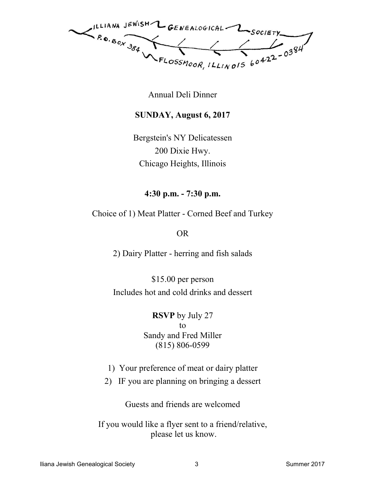ILLIANA JEWISH L GENEALOGICAL LSOCIETY  $R_{\text{o}}_{\text{B}} \text{A}$ 

Annual Deli Dinner

# SUNDAY, August 6, 2017

Bergstein's NY Delicatessen 200 Dixie Hwy. Chicago Heights, Illinois

4:30 p.m. - 7:30 p.m.

Choice of 1) Meat Platter - Corned Beef and Turkey

OR

2) Dairy Platter - herring and fish salads

\$15.00 per person Includes hot and cold drinks and dessert

> RSVP by July 27 to Sandy and Fred Miller (815) 806-0599

- 1) Your preference of meat or dairy platter
- 2) IF you are planning on bringing a dessert

Guests and friends are welcomed

If you would like a flyer sent to a friend/relative, please let us know.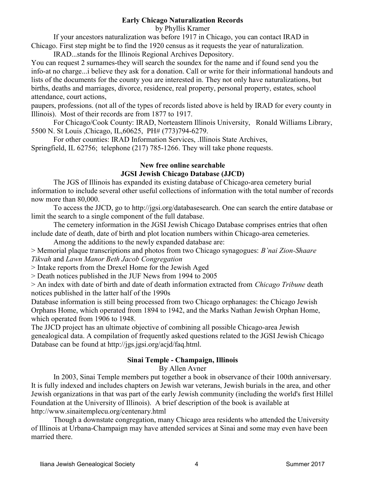#### Early Chicago Naturalization Records

by Phyllis Kramer

 If your ancestors naturalization was before 1917 in Chicago, you can contact IRAD in Chicago. First step might be to find the 1920 census as it requests the year of naturalization.

IRAD...stands for the Illinois Regional Archives Depository.

You can request 2 surnames-they will search the soundex for the name and if found send you the info-at no charge...i believe they ask for a donation. Call or write for their informational handouts and lists of the documents for the county you are interested in. They not only have naturalizations, but births, deaths and marriages, divorce, residence, real property, personal property, estates, school attendance, court actions,

paupers, professions. (not all of the types of records listed above is held by IRAD for every county in Illinois). Most of their records are from 1877 to 1917.

 For Chicago/Cook County: IRAD, Norteastern Illinois University, Ronald Williams Library, 5500 N. St Louis ,Chicago, IL,60625, PH# (773)794-6279.

 For other counties: IRAD Information Services, .Illinois State Archives, Springfield, IL 62756; telephone (217) 785-1266. They will take phone requests.

## New free online searchable JGSI Jewish Chicago Database (JJCD)

 The JGS of Illinois has expanded its existing database of Chicago-area cemetery burial information to include several other useful collections of information with the total number of records now more than 80,000.

 To access the JJCD, go to http://jgsi.org/databasesearch. One can search the entire database or limit the search to a single component of the full database.

 The cemetery information in the JGSI Jewish Chicago Database comprises entries that often include date of death, date of birth and plot location numbers within Chicago-area cemeteries.

Among the additions to the newly expanded database are:

> Memorial plaque transcriptions and photos from two Chicago synagogues: B'nai Zion-Shaare Tikvah and Lawn Manor Beth Jacob Congregation

> Intake reports from the Drexel Home for the Jewish Aged

> Death notices published in the JUF News from 1994 to 2005

> An index with date of birth and date of death information extracted from Chicago Tribune death notices published in the latter half of the 1990s

Database information is still being processed from two Chicago orphanages: the Chicago Jewish Orphans Home, which operated from 1894 to 1942, and the Marks Nathan Jewish Orphan Home, which operated from 1906 to 1948.

The JJCD project has an ultimate objective of combining all possible Chicago-area Jewish genealogical data. A compilation of frequently asked questions related to the JGSI Jewish Chicago Database can be found at http://jgs.jgsi.org/acjd/faq.html.

# Sinai Temple - Champaign, Illinois

By Allen Avner

 In 2003, Sinai Temple members put together a book in observance of their 100th anniversary. It is fully indexed and includes chapters on Jewish war veterans, Jewish burials in the area, and other Jewish organizations in that was part of the early Jewish community (including the world's first Hillel Foundation at the University of Illinois). A brief description of the book is available at http://www.sinaitemplecu.org/centenary.html

 Though a downstate congregation, many Chicago area residents who attended the University of Illinois at Urbana-Champaign may have attended services at Sinai and some may even have been married there.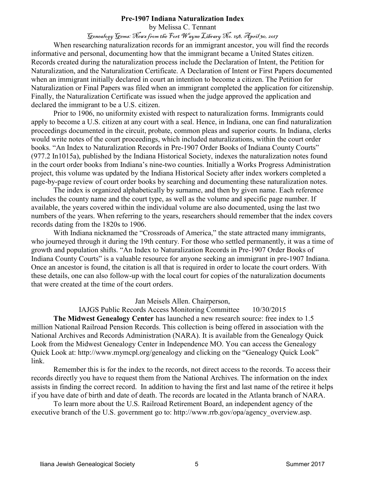#### Pre-1907 Indiana Naturalization Index

by Melissa C. Tennant Genealogy Gems: News from the Fort Wayne Library No. 158, April 30, 2017

 When researching naturalization records for an immigrant ancestor, you will find the records informative and personal, documenting how that the immigrant became a United States citizen. Records created during the naturalization process include the Declaration of Intent, the Petition for Naturalization, and the Naturalization Certificate. A Declaration of Intent or First Papers documented when an immigrant initially declared in court an intention to become a citizen. The Petition for Naturalization or Final Papers was filed when an immigrant completed the application for citizenship. Finally, the Naturalization Certificate was issued when the judge approved the application and declared the immigrant to be a U.S. citizen.

 Prior to 1906, no uniformity existed with respect to naturalization forms. Immigrants could apply to become a U.S. citizen at any court with a seal. Hence, in Indiana, one can find naturalization proceedings documented in the circuit, probate, common pleas and superior courts. In Indiana, clerks would write notes of the court proceedings, which included naturalizations, within the court order books. "An Index to Naturalization Records in Pre-1907 Order Books of Indiana County Courts" (977.2 In1015a), published by the Indiana Historical Society, indexes the naturalization notes found in the court order books from Indiana's nine-two counties. Initially a Works Progress Administration project, this volume was updated by the Indiana Historical Society after index workers completed a page-by-page review of court order books by searching and documenting these naturalization notes.

 The index is organized alphabetically by surname, and then by given name. Each reference includes the county name and the court type, as well as the volume and specific page number. If available, the years covered within the individual volume are also documented, using the last two numbers of the years. When referring to the years, researchers should remember that the index covers records dating from the 1820s to 1906.

With Indiana nicknamed the "Crossroads of America," the state attracted many immigrants, who journeyed through it during the 19th century. For those who settled permanently, it was a time of growth and population shifts. "An Index to Naturalization Records in Pre-1907 Order Books of Indiana County Courts" is a valuable resource for anyone seeking an immigrant in pre-1907 Indiana. Once an ancestor is found, the citation is all that is required in order to locate the court orders. With these details, one can also follow-up with the local court for copies of the naturalization documents that were created at the time of the court orders.

Jan Meisels Allen. Chairperson,

IAJGS Public Records Access Monitoring Committee 10/30/2015 The Midwest Genealogy Center has launched a new research source: free index to 1.5

million National Railroad Pension Records. This collection is being offered in association with the National Archives and Records Administration (NARA). It is available from the Genealogy Quick Look from the Midwest Genealogy Center in Independence MO. You can access the Genealogy Quick Look at: http://www.mymcpl.org/genealogy and clicking on the "Genealogy Quick Look" link.

 Remember this is for the index to the records, not direct access to the records. To access their records directly you have to request them from the National Archives. The information on the index assists in finding the correct record. In addition to having the first and last name of the retiree it helps if you have date of birth and date of death. The records are located in the Atlanta branch of NARA.

 To learn more about the U.S. Railroad Retirement Board, an independent agency of the executive branch of the U.S. government go to: http://www.rrb.gov/opa/agency\_overview.asp.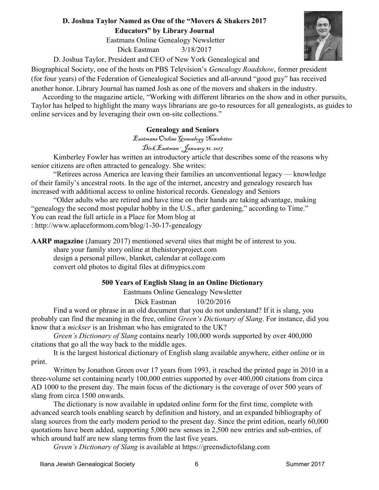## D. Joshua Taylor Named as One of the "Movers & Shakers 2017 Educators" by Library Journal

Eastmans Online Genealogy Newsletter

Dick Eastman 3/18/2017

D. Joshua Taylor, President and CEO of New York Genealogical and

Biographical Society, one of the hosts on PBS Television's Genealogy Roadshow, former president (for four years) of the Federation of Genealogical Societies and all-around "good guy" has received another honor. Library Journal has named Josh as one of the movers and shakers in the industry.

 According to the magazine article, "Working with different libraries on the show and in other pursuits, Taylor has helped to highlight the many ways librarians are go-to resources for all genealogists, as guides to online services and by leveraging their own on-site collections."

# Genealogy and Seniors

Eastmans Online Genealogy Newsletter

Dick Eastman · January 31, 2017

 Kimberley Fowler has written an introductory article that describes some of the reasons why senior citizens are often attracted to genealogy. She writes:

 "Retirees across America are leaving their families an unconventional legacy — knowledge of their family's ancestral roots. In the age of the internet, ancestry and genealogy research has increased with additional access to online historical records. Genealogy and Seniors

 "Older adults who are retired and have time on their hands are taking advantage, making "genealogy the second most popular hobby in the U.S., after gardening," according to Time." You can read the full article in a Place for Mom blog at : http://www.aplaceformom.com/blog/1-30-17-genealogy

AARP magazine (January 2017) mentioned several sites that might be of interest to you.

 share your family story online at thehistoryproject.com design a personal pillow, blanket, calendar at collage.com convert old photos to digital files at difmypics.com

# 500 Years of English Slang in an Online Dictionary

Eastmans Online Genealogy Newsletter

Dick Eastman 10/20/2016

 Find a word or phrase in an old document that you do not understand? If it is slang, you probably can find the meaning in the free, online Green's Dictionary of Slang. For instance, did you know that a mickser is an Irishman who has emigrated to the UK?

 Green's Dictionary of Slang contains nearly 100,000 words supported by over 400,000 citations that go all the way back to the middle ages.

It is the largest historical dictionary of English slang available anywhere, either online or in print.

 Written by Jonathon Green over 17 years from 1993, it reached the printed page in 2010 in a three-volume set containing nearly 100,000 entries supported by over 400,000 citations from circa AD 1000 to the present day. The main focus of the dictionary is the coverage of over 500 years of slang from circa 1500 onwards.

 The dictionary is now available in updated online form for the first time, complete with advanced search tools enabling search by definition and history, and an expanded bibliography of slang sources from the early modern period to the present day. Since the print edition, nearly 60,000 quotations have been added, supporting 5,000 new senses in 2,500 new entries and sub-entries, of which around half are new slang terms from the last five years.

Green's Dictionary of Slang is available at https://greensdictofslang.com

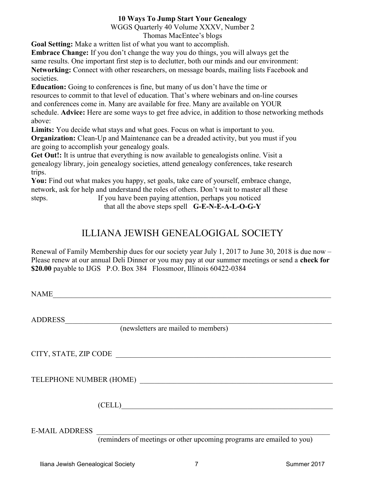## 10 Ways To Jump Start Your Genealogy

WGGS Quarterly 40 Volume XXXV, Number 2

Thomas MacEntee's blogs

Goal Setting: Make a written list of what you want to accomplish.

Embrace Change: If you don't change the way you do things, you will always get the

same results. One important first step is to declutter, both our minds and our environment:

Networking: Connect with other researchers, on message boards, mailing lists Facebook and societies.

Education: Going to conferences is fine, but many of us don't have the time or resources to commit to that level of education. That's where webinars and on-line courses and conferences come in. Many are available for free. Many are available on YOUR schedule. Advice: Here are some ways to get free advice, in addition to those networking methods above:

Limits: You decide what stays and what goes. Focus on what is important to you.

Organization: Clean-Up and Maintenance can be a dreaded activity, but you must if you are going to accomplish your genealogy goals.

Get Out!: It is untrue that everything is now available to genealogists online. Visit a genealogy library, join genealogy societies, attend genealogy conferences, take research trips.

You: Find out what makes you happy, set goals, take care of yourself, embrace change, network, ask for help and understand the roles of others. Don't wait to master all these steps. If you have been paying attention, perhaps you noticed

that all the above steps spell G-E-N-E-A-L-O-G-Y

# ILLIANA JEWISH GENEALOGIGAL SOCIETY

Renewal of Family Membership dues for our society year July 1, 2017 to June 30, 2018 is due now – Please renew at our annual Deli Dinner or you may pay at our summer meetings or send a check for \$20.00 payable to IJGS P.O. Box 384 Flossmoor, Illinois 60422-0384

 $NAME$ 

ADDRESS\_\_\_\_\_\_\_\_\_\_\_\_\_\_\_\_\_\_\_\_\_\_\_\_\_\_\_\_\_\_\_\_\_\_\_\_\_\_\_\_\_\_\_\_\_\_\_\_\_\_\_\_\_\_\_\_\_\_\_\_\_\_\_\_\_\_\_\_\_\_\_\_

(newsletters are mailed to members)

CITY, STATE, ZIP CODE \_\_\_\_\_\_\_\_\_\_\_\_\_\_\_\_\_\_\_\_\_\_\_\_\_\_\_\_\_\_\_\_\_\_\_\_\_\_\_\_\_\_\_\_\_\_\_\_\_\_\_\_\_\_\_\_\_\_

TELEPHONE NUMBER (HOME) \_\_\_\_\_\_\_\_\_\_\_\_\_\_\_\_\_\_\_\_\_\_\_\_\_\_\_\_\_\_\_\_\_\_\_\_\_\_\_\_\_\_\_\_\_\_\_\_\_\_\_\_

 $(CELL)$ 

E-MAIL ADDRESS \_\_\_\_\_\_\_\_\_\_\_\_\_\_\_\_\_\_\_\_\_\_\_\_\_\_\_\_\_\_\_\_\_\_\_\_\_\_\_\_\_\_\_\_\_\_\_\_\_\_\_\_\_\_\_\_\_\_\_\_\_\_\_

(reminders of meetings or other upcoming programs are emailed to you)